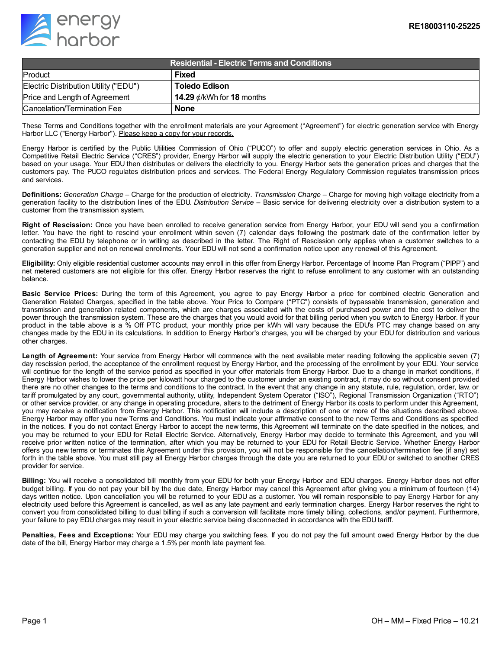

| <b>Residential - Electric Terms and Conditions</b> |                                 |
|----------------------------------------------------|---------------------------------|
| Product                                            | Fixed                           |
| Electric Distribution Utility ("EDU")              | Toledo Edison                   |
| Price and Length of Agreement                      | 14.29 $\phi$ /kWh for 18 months |
| Cancelation/Termination Fee                        | <b>None</b>                     |

These Terms and Conditions together with the enrollment materials are your Agreement ("Agreement") for electric generation service with Energy Harbor LLC ("Energy Harbor"). Please keep a copy for your records.

Energy Harbor is certified by the Public Utilities Commission of Ohio ("PUCO") to offer and supply electric generation services in Ohio. As a Competitive Retail Electric Service ("CRES") provider, Energy Harbor will supply the electric generation to your Electric Distribution Utility ("EDU") based on your usage. Your EDU then distributes or delivers the electricity to you. Energy Harbor sets the generation prices and charges that the customers pay. The PUCO regulates distribution prices and services. The Federal Energy Regulatory Commission regulates transmission prices and services.

**Definitions:** *Generation Charge* – Charge for the production of electricity. *Transmission Charge* – Charge for moving high voltage electricity from a generation facility to the distribution lines of the EDU. *Distribution Service* – Basic service for delivering electricity over a distribution system to a customer from the transmission system.

**Right of Rescission:** Once you have been enrolled to receive generation service from Energy Harbor, your EDU will send you a confirmation letter. You have the right to rescind your enrollment within seven (7) calendar days following the postmark date of the confirmation letter by contacting the EDU by telephone or in writing as described in the letter. The Right of Rescission only applies when a customer switches to a generation supplier and not on renewal enrollments. Your EDU will not send a confirmation notice upon any renewal of this Agreement.

**Eligibility:** Only eligible residential customer accounts may enroll in this offer from Energy Harbor. Percentage of Income Plan Program ("PIPP") and net metered customers are not eligible for this offer. Energy Harbor reserves the right to refuse enrollment to any customer with an outstanding balance.

**Basic Service Prices:** During the term of this Agreement, you agree to pay Energy Harbor a price for combined electric Generation and Generation Related Charges, specified in the table above. Your Price to Compare ("PTC") consists of bypassable transmission, generation and transmission and generation related components, which are charges associated with the costs of purchased power and the cost to deliver the power through the transmission system. These are the charges that you would avoid for that billing period when you switch to Energy Harbor. If your product in the table above is a % Off PTC product, your monthly price per kWh will vary because the EDU's PTC may change based on any changes made by the EDU in its calculations. In addition to Energy Harbor's charges, you will be charged by your EDU for distribution and various other charges.

**Length of Agreement:** Your service from Energy Harbor will commence with the next available meter reading following the applicable seven (7) day rescission period, the acceptance of the enrollment request by Energy Harbor, and the processing of the enrollment by your EDU. Your service will continue for the length of the service period as specified in your offer materials from Energy Harbor. Due to a change in market conditions, if Energy Harbor wishes to lower the price per kilowatt hour charged to the customer under an existing contract, it may do so without consent provided there are no other changes to the terms and conditions to the contract. In the event that any change in any statute, rule, regulation, order, law, or tariff promulgated by any court, governmental authority, utility, Independent System Operator ("ISO"), Regional Transmission Organization ("RTO") or other service provider, or any change in operating procedure, alters to the detriment of Energy Harbor its costs to perform under this Agreement, you may receive a notification from Energy Harbor. This notification will include a description of one or more of the situations described above. Energy Harbor may offer you new Terms and Conditions. You must indicate your affirmative consent to the new Terms and Conditions as specified in the notices. If you do not contact Energy Harbor to accept the new terms, this Agreement will terminate on the date specified in the notices, and you may be returned to your EDU for Retail Electric Service. Alternatively, Energy Harbor may decide to terminate this Agreement, and you will receive prior written notice of the termination, after which you may be returned to your EDU for Retail Electric Service. Whether Energy Harbor offers you new terms or terminates this Agreement under this provision, you will not be responsible for the cancellation/termination fee (if any) set forth in the table above. You must still pay all Energy Harbor charges through the date you are returned to your EDU or switched to another CRES provider for service.

**Billing:** You will receive a consolidated bill monthly from your EDU for both your Energy Harbor and EDU charges. Energy Harbor does not offer budget billing. If you do not pay your bill by the due date, Energy Harbor may cancel this Agreement after giving you a minimum of fourteen (14) days written notice. Upon cancellation you will be returned to your EDU as a customer. You will remain responsible to pay Energy Harbor for any electricity used before this Agreement is cancelled, as well as any late payment and early termination charges. Energy Harbor reserves the right to convert you from consolidated billing to dual billing if such a conversion will facilitate more timely billing, collections, and/or payment. Furthermore, your failure to pay EDU charges may result in your electric service being disconnected in accordance with the EDU tariff.

**Penalties, Fees and Exceptions:** Your EDU may charge you switching fees. If you do not pay the full amount owed Energy Harbor by the due date of the bill, Energy Harbor may charge a 1.5% per month late payment fee.